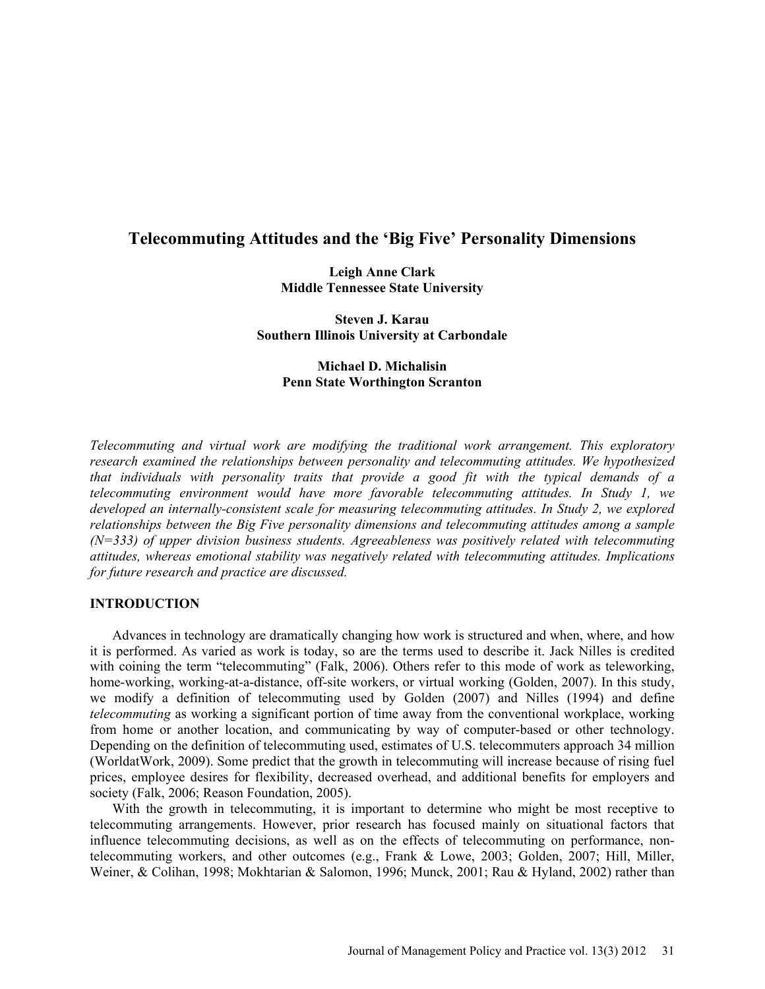# **Telecommuting Attitudes and the 'Big Five' Personality Dimensions**

**Leigh Anne Clark Middle Tennessee State University**

**Steven J. Karau Southern Illinois University at Carbondale**

### **Michael D. Michalisin Penn State Worthington Scranton**

*Telecommuting and virtual work are modifying the traditional work arrangement. This exploratory research examined the relationships between personality and telecommuting attitudes. We hypothesized that individuals with personality traits that provide a good fit with the typical demands of a telecommuting environment would have more favorable telecommuting attitudes. In Study 1, we developed an internally-consistent scale for measuring telecommuting attitudes. In Study 2, we explored relationships between the Big Five personality dimensions and telecommuting attitudes among a sample (N=333) of upper division business students. Agreeableness was positively related with telecommuting attitudes, whereas emotional stability was negatively related with telecommuting attitudes. Implications for future research and practice are discussed.*

#### **INTRODUCTION**

Advances in technology are dramatically changing how work is structured and when, where, and how it is performed. As varied as work is today, so are the terms used to describe it. Jack Nilles is credited with coining the term "telecommuting" (Falk, 2006). Others refer to this mode of work as teleworking, home-working, working-at-a-distance, off-site workers, or virtual working (Golden, 2007). In this study, we modify a definition of telecommuting used by Golden (2007) and Nilles (1994) and define *telecommuting* as working a significant portion of time away from the conventional workplace, working from home or another location, and communicating by way of computer-based or other technology. Depending on the definition of telecommuting used, estimates of U.S. telecommuters approach 34 million (WorldatWork, 2009). Some predict that the growth in telecommuting will increase because of rising fuel prices, employee desires for flexibility, decreased overhead, and additional benefits for employers and society (Falk, 2006; Reason Foundation, 2005).

With the growth in telecommuting, it is important to determine who might be most receptive to telecommuting arrangements. However, prior research has focused mainly on situational factors that influence telecommuting decisions, as well as on the effects of telecommuting on performance, nontelecommuting workers, and other outcomes (e.g., Frank & Lowe, 2003; Golden, 2007; Hill, Miller, Weiner, & Colihan, 1998; Mokhtarian & Salomon, 1996; Munck, 2001; Rau & Hyland, 2002) rather than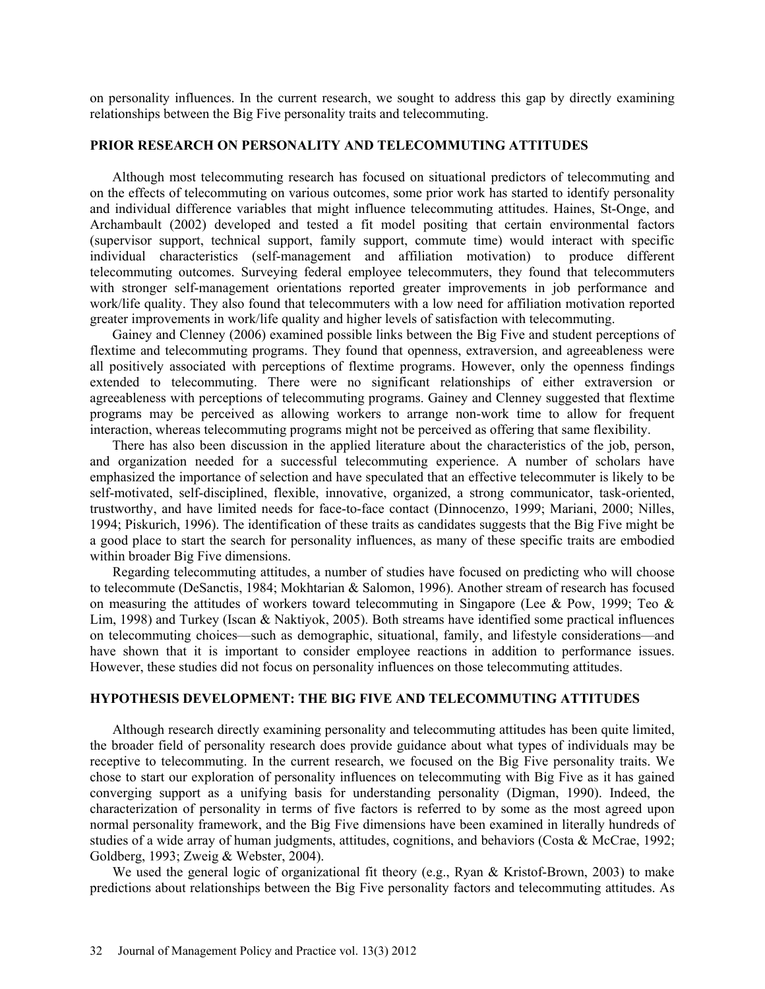on personality influences. In the current research, we sought to address this gap by directly examining relationships between the Big Five personality traits and telecommuting.

### **PRIOR RESEARCH ON PERSONALITY AND TELECOMMUTING ATTITUDES**

Although most telecommuting research has focused on situational predictors of telecommuting and on the effects of telecommuting on various outcomes, some prior work has started to identify personality and individual difference variables that might influence telecommuting attitudes. Haines, St-Onge, and Archambault (2002) developed and tested a fit model positing that certain environmental factors (supervisor support, technical support, family support, commute time) would interact with specific individual characteristics (self-management and affiliation motivation) to produce different telecommuting outcomes. Surveying federal employee telecommuters, they found that telecommuters with stronger self-management orientations reported greater improvements in job performance and work/life quality. They also found that telecommuters with a low need for affiliation motivation reported greater improvements in work/life quality and higher levels of satisfaction with telecommuting.

Gainey and Clenney (2006) examined possible links between the Big Five and student perceptions of flextime and telecommuting programs. They found that openness, extraversion, and agreeableness were all positively associated with perceptions of flextime programs. However, only the openness findings extended to telecommuting. There were no significant relationships of either extraversion or agreeableness with perceptions of telecommuting programs. Gainey and Clenney suggested that flextime programs may be perceived as allowing workers to arrange non-work time to allow for frequent interaction, whereas telecommuting programs might not be perceived as offering that same flexibility.

There has also been discussion in the applied literature about the characteristics of the job, person, and organization needed for a successful telecommuting experience. A number of scholars have emphasized the importance of selection and have speculated that an effective telecommuter is likely to be self-motivated, self-disciplined, flexible, innovative, organized, a strong communicator, task-oriented, trustworthy, and have limited needs for face-to-face contact (Dinnocenzo, 1999; Mariani, 2000; Nilles, 1994; Piskurich, 1996). The identification of these traits as candidates suggests that the Big Five might be a good place to start the search for personality influences, as many of these specific traits are embodied within broader Big Five dimensions.

Regarding telecommuting attitudes, a number of studies have focused on predicting who will choose to telecommute (DeSanctis, 1984; Mokhtarian & Salomon, 1996). Another stream of research has focused on measuring the attitudes of workers toward telecommuting in Singapore (Lee & Pow, 1999; Teo & Lim, 1998) and Turkey (Iscan & Naktiyok, 2005). Both streams have identified some practical influences on telecommuting choices—such as demographic, situational, family, and lifestyle considerations—and have shown that it is important to consider employee reactions in addition to performance issues. However, these studies did not focus on personality influences on those telecommuting attitudes.

#### **HYPOTHESIS DEVELOPMENT: THE BIG FIVE AND TELECOMMUTING ATTITUDES**

Although research directly examining personality and telecommuting attitudes has been quite limited, the broader field of personality research does provide guidance about what types of individuals may be receptive to telecommuting. In the current research, we focused on the Big Five personality traits. We chose to start our exploration of personality influences on telecommuting with Big Five as it has gained converging support as a unifying basis for understanding personality (Digman, 1990). Indeed, the characterization of personality in terms of five factors is referred to by some as the most agreed upon normal personality framework, and the Big Five dimensions have been examined in literally hundreds of studies of a wide array of human judgments, attitudes, cognitions, and behaviors (Costa & McCrae, 1992; Goldberg, 1993; Zweig & Webster, 2004).

We used the general logic of organizational fit theory (e.g., Ryan & Kristof-Brown, 2003) to make predictions about relationships between the Big Five personality factors and telecommuting attitudes. As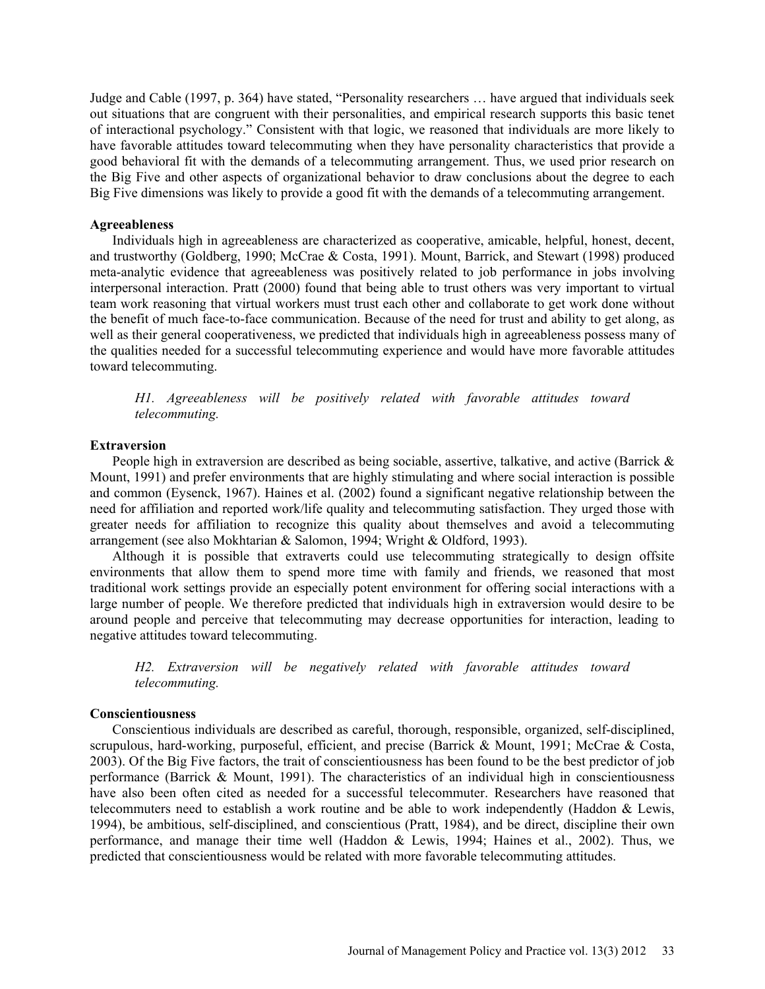Judge and Cable (1997, p. 364) have stated, "Personality researchers … have argued that individuals seek out situations that are congruent with their personalities, and empirical research supports this basic tenet of interactional psychology." Consistent with that logic, we reasoned that individuals are more likely to have favorable attitudes toward telecommuting when they have personality characteristics that provide a good behavioral fit with the demands of a telecommuting arrangement. Thus, we used prior research on the Big Five and other aspects of organizational behavior to draw conclusions about the degree to each Big Five dimensions was likely to provide a good fit with the demands of a telecommuting arrangement.

#### **Agreeableness**

Individuals high in agreeableness are characterized as cooperative, amicable, helpful, honest, decent, and trustworthy (Goldberg, 1990; McCrae & Costa, 1991). Mount, Barrick, and Stewart (1998) produced meta-analytic evidence that agreeableness was positively related to job performance in jobs involving interpersonal interaction. Pratt (2000) found that being able to trust others was very important to virtual team work reasoning that virtual workers must trust each other and collaborate to get work done without the benefit of much face-to-face communication. Because of the need for trust and ability to get along, as well as their general cooperativeness, we predicted that individuals high in agreeableness possess many of the qualities needed for a successful telecommuting experience and would have more favorable attitudes toward telecommuting.

*H1. Agreeableness will be positively related with favorable attitudes toward telecommuting.*

#### **Extraversion**

People high in extraversion are described as being sociable, assertive, talkative, and active (Barrick  $\&$ Mount, 1991) and prefer environments that are highly stimulating and where social interaction is possible and common (Eysenck, 1967). Haines et al. (2002) found a significant negative relationship between the need for affiliation and reported work/life quality and telecommuting satisfaction. They urged those with greater needs for affiliation to recognize this quality about themselves and avoid a telecommuting arrangement (see also Mokhtarian & Salomon, 1994; Wright & Oldford, 1993).

Although it is possible that extraverts could use telecommuting strategically to design offsite environments that allow them to spend more time with family and friends, we reasoned that most traditional work settings provide an especially potent environment for offering social interactions with a large number of people. We therefore predicted that individuals high in extraversion would desire to be around people and perceive that telecommuting may decrease opportunities for interaction, leading to negative attitudes toward telecommuting.

*H2. Extraversion will be negatively related with favorable attitudes toward telecommuting.*

#### **Conscientiousness**

Conscientious individuals are described as careful, thorough, responsible, organized, self-disciplined, scrupulous, hard-working, purposeful, efficient, and precise (Barrick & Mount, 1991; McCrae & Costa, 2003). Of the Big Five factors, the trait of conscientiousness has been found to be the best predictor of job performance (Barrick & Mount, 1991). The characteristics of an individual high in conscientiousness have also been often cited as needed for a successful telecommuter. Researchers have reasoned that telecommuters need to establish a work routine and be able to work independently (Haddon & Lewis, 1994), be ambitious, self-disciplined, and conscientious (Pratt, 1984), and be direct, discipline their own performance, and manage their time well (Haddon & Lewis, 1994; Haines et al., 2002). Thus, we predicted that conscientiousness would be related with more favorable telecommuting attitudes.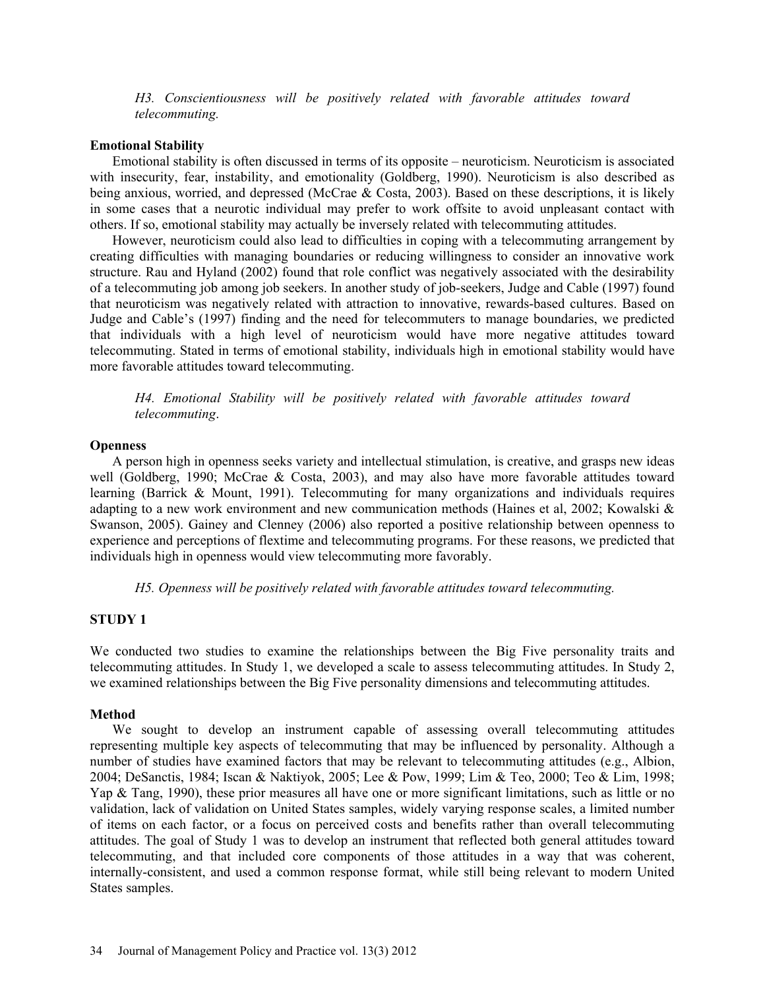*H3. Conscientiousness will be positively related with favorable attitudes toward telecommuting.*

### **Emotional Stability**

Emotional stability is often discussed in terms of its opposite – neuroticism. Neuroticism is associated with insecurity, fear, instability, and emotionality (Goldberg, 1990). Neuroticism is also described as being anxious, worried, and depressed (McCrae & Costa, 2003). Based on these descriptions, it is likely in some cases that a neurotic individual may prefer to work offsite to avoid unpleasant contact with others. If so, emotional stability may actually be inversely related with telecommuting attitudes.

However, neuroticism could also lead to difficulties in coping with a telecommuting arrangement by creating difficulties with managing boundaries or reducing willingness to consider an innovative work structure. Rau and Hyland (2002) found that role conflict was negatively associated with the desirability of a telecommuting job among job seekers. In another study of job-seekers, Judge and Cable (1997) found that neuroticism was negatively related with attraction to innovative, rewards-based cultures. Based on Judge and Cable's (1997) finding and the need for telecommuters to manage boundaries, we predicted that individuals with a high level of neuroticism would have more negative attitudes toward telecommuting. Stated in terms of emotional stability, individuals high in emotional stability would have more favorable attitudes toward telecommuting.

*H4. Emotional Stability will be positively related with favorable attitudes toward telecommuting*.

### **Openness**

A person high in openness seeks variety and intellectual stimulation, is creative, and grasps new ideas well (Goldberg, 1990; McCrae & Costa, 2003), and may also have more favorable attitudes toward learning (Barrick & Mount, 1991). Telecommuting for many organizations and individuals requires adapting to a new work environment and new communication methods (Haines et al, 2002; Kowalski & Swanson, 2005). Gainey and Clenney (2006) also reported a positive relationship between openness to experience and perceptions of flextime and telecommuting programs. For these reasons, we predicted that individuals high in openness would view telecommuting more favorably.

*H5. Openness will be positively related with favorable attitudes toward telecommuting.*

### **STUDY 1**

We conducted two studies to examine the relationships between the Big Five personality traits and telecommuting attitudes. In Study 1, we developed a scale to assess telecommuting attitudes. In Study 2, we examined relationships between the Big Five personality dimensions and telecommuting attitudes.

### **Method**

We sought to develop an instrument capable of assessing overall telecommuting attitudes representing multiple key aspects of telecommuting that may be influenced by personality. Although a number of studies have examined factors that may be relevant to telecommuting attitudes (e.g., Albion, 2004; DeSanctis, 1984; Iscan & Naktiyok, 2005; Lee & Pow, 1999; Lim & Teo, 2000; Teo & Lim, 1998; Yap & Tang, 1990), these prior measures all have one or more significant limitations, such as little or no validation, lack of validation on United States samples, widely varying response scales, a limited number of items on each factor, or a focus on perceived costs and benefits rather than overall telecommuting attitudes. The goal of Study 1 was to develop an instrument that reflected both general attitudes toward telecommuting, and that included core components of those attitudes in a way that was coherent, internally-consistent, and used a common response format, while still being relevant to modern United States samples.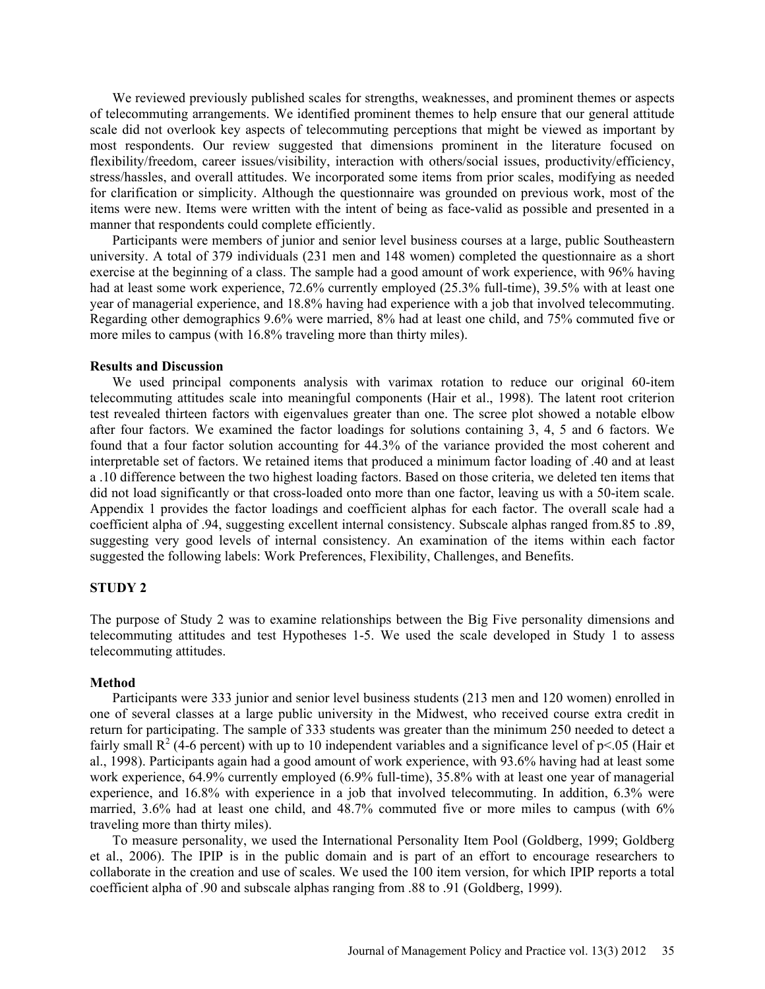We reviewed previously published scales for strengths, weaknesses, and prominent themes or aspects of telecommuting arrangements. We identified prominent themes to help ensure that our general attitude scale did not overlook key aspects of telecommuting perceptions that might be viewed as important by most respondents. Our review suggested that dimensions prominent in the literature focused on flexibility/freedom, career issues/visibility, interaction with others/social issues, productivity/efficiency, stress/hassles, and overall attitudes. We incorporated some items from prior scales, modifying as needed for clarification or simplicity. Although the questionnaire was grounded on previous work, most of the items were new. Items were written with the intent of being as face-valid as possible and presented in a manner that respondents could complete efficiently.

Participants were members of junior and senior level business courses at a large, public Southeastern university. A total of 379 individuals (231 men and 148 women) completed the questionnaire as a short exercise at the beginning of a class. The sample had a good amount of work experience, with 96% having had at least some work experience, 72.6% currently employed (25.3% full-time), 39.5% with at least one year of managerial experience, and 18.8% having had experience with a job that involved telecommuting. Regarding other demographics 9.6% were married, 8% had at least one child, and 75% commuted five or more miles to campus (with 16.8% traveling more than thirty miles).

#### **Results and Discussion**

We used principal components analysis with varimax rotation to reduce our original 60-item telecommuting attitudes scale into meaningful components (Hair et al., 1998). The latent root criterion test revealed thirteen factors with eigenvalues greater than one. The scree plot showed a notable elbow after four factors. We examined the factor loadings for solutions containing 3, 4, 5 and 6 factors. We found that a four factor solution accounting for 44.3% of the variance provided the most coherent and interpretable set of factors. We retained items that produced a minimum factor loading of .40 and at least a .10 difference between the two highest loading factors. Based on those criteria, we deleted ten items that did not load significantly or that cross-loaded onto more than one factor, leaving us with a 50-item scale. Appendix 1 provides the factor loadings and coefficient alphas for each factor. The overall scale had a coefficient alpha of .94, suggesting excellent internal consistency. Subscale alphas ranged from.85 to .89, suggesting very good levels of internal consistency. An examination of the items within each factor suggested the following labels: Work Preferences, Flexibility, Challenges, and Benefits.

### **STUDY 2**

The purpose of Study 2 was to examine relationships between the Big Five personality dimensions and telecommuting attitudes and test Hypotheses 1-5. We used the scale developed in Study 1 to assess telecommuting attitudes.

#### **Method**

Participants were 333 junior and senior level business students (213 men and 120 women) enrolled in one of several classes at a large public university in the Midwest, who received course extra credit in return for participating. The sample of 333 students was greater than the minimum 250 needed to detect a fairly small  $R^2$  (4-6 percent) with up to 10 independent variables and a significance level of p<.05 (Hair et al., 1998). Participants again had a good amount of work experience, with 93.6% having had at least some work experience, 64.9% currently employed (6.9% full-time), 35.8% with at least one year of managerial experience, and 16.8% with experience in a job that involved telecommuting. In addition, 6.3% were married, 3.6% had at least one child, and 48.7% commuted five or more miles to campus (with 6%) traveling more than thirty miles).

To measure personality, we used the International Personality Item Pool (Goldberg, 1999; Goldberg et al., 2006). The IPIP is in the public domain and is part of an effort to encourage researchers to collaborate in the creation and use of scales. We used the 100 item version, for which IPIP reports a total coefficient alpha of .90 and subscale alphas ranging from .88 to .91 (Goldberg, 1999).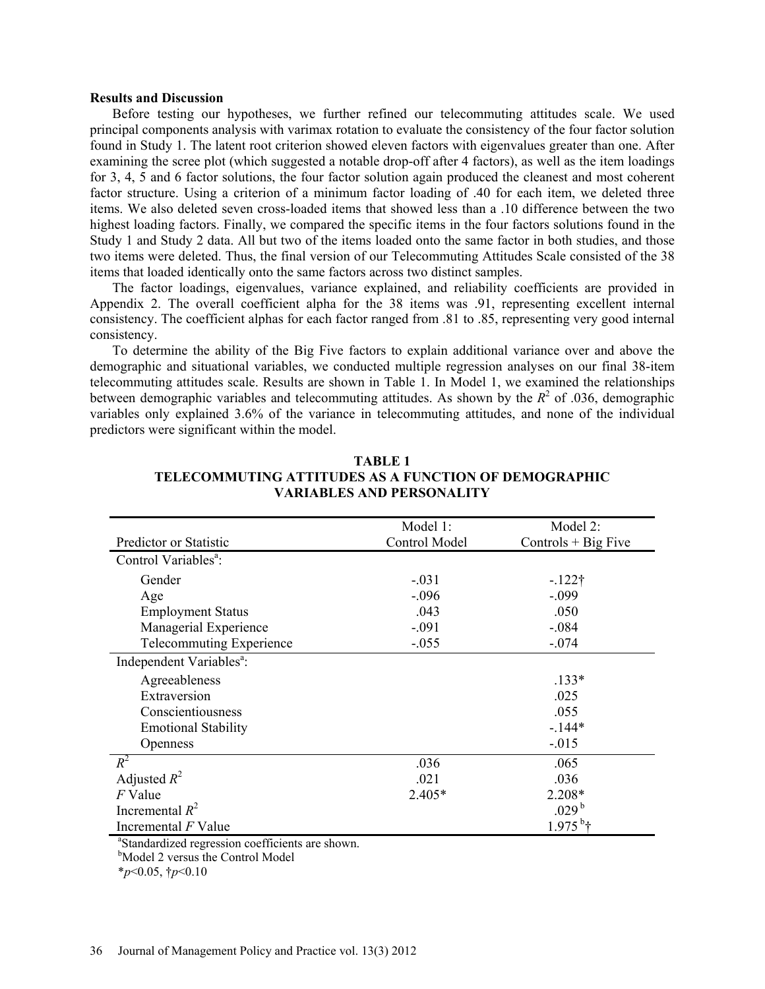#### **Results and Discussion**

Before testing our hypotheses, we further refined our telecommuting attitudes scale. We used principal components analysis with varimax rotation to evaluate the consistency of the four factor solution found in Study 1. The latent root criterion showed eleven factors with eigenvalues greater than one. After examining the scree plot (which suggested a notable drop-off after 4 factors), as well as the item loadings for 3, 4, 5 and 6 factor solutions, the four factor solution again produced the cleanest and most coherent factor structure. Using a criterion of a minimum factor loading of .40 for each item, we deleted three items. We also deleted seven cross-loaded items that showed less than a .10 difference between the two highest loading factors. Finally, we compared the specific items in the four factors solutions found in the Study 1 and Study 2 data. All but two of the items loaded onto the same factor in both studies, and those two items were deleted. Thus, the final version of our Telecommuting Attitudes Scale consisted of the 38 items that loaded identically onto the same factors across two distinct samples.

The factor loadings, eigenvalues, variance explained, and reliability coefficients are provided in Appendix 2. The overall coefficient alpha for the 38 items was .91, representing excellent internal consistency. The coefficient alphas for each factor ranged from .81 to .85, representing very good internal consistency.

To determine the ability of the Big Five factors to explain additional variance over and above the demographic and situational variables, we conducted multiple regression analyses on our final 38-item telecommuting attitudes scale. Results are shown in Table 1. In Model 1, we examined the relationships between demographic variables and telecommuting attitudes. As shown by the  $R^2$  of .036, demographic variables only explained 3.6% of the variance in telecommuting attitudes, and none of the individual predictors were significant within the model.

|                                      | Model 1:      | Model 2:              |
|--------------------------------------|---------------|-----------------------|
| Predictor or Statistic               | Control Model | Controls $+$ Big Five |
| Control Variables <sup>a</sup> :     |               |                       |
| Gender                               | $-.031$       | $-122\dagger$         |
| Age                                  | $-.096$       | $-.099$               |
| <b>Employment Status</b>             | .043          | .050                  |
| Managerial Experience                | $-.091$       | $-.084$               |
| <b>Telecommuting Experience</b>      | $-.055$       | $-.074$               |
| Independent Variables <sup>a</sup> : |               |                       |
| Agreeableness                        |               | $.133*$               |
| Extraversion                         |               | .025                  |
| Conscientiousness                    |               | .055                  |
| <b>Emotional Stability</b>           |               | $-144*$               |
| <b>Openness</b>                      |               | $-.015$               |
| $R^2$                                | .036          | .065                  |
| Adjusted $R^2$                       | .021          | .036                  |
| $F$ Value                            | $2.405*$      | $2.208*$              |
| Incremental $R^2$                    |               | .029 <sup>b</sup>     |
| Incremental $F$ Value                |               | $1.975^{b}$ †         |

## **TABLE 1 TELECOMMUTING ATTITUDES AS A FUNCTION OF DEMOGRAPHIC VARIABLES AND PERSONALITY**

a Standardized regression coefficients are shown.

<sup>b</sup>Model 2 versus the Control Model

\**p*<0.05, †*p*<0.10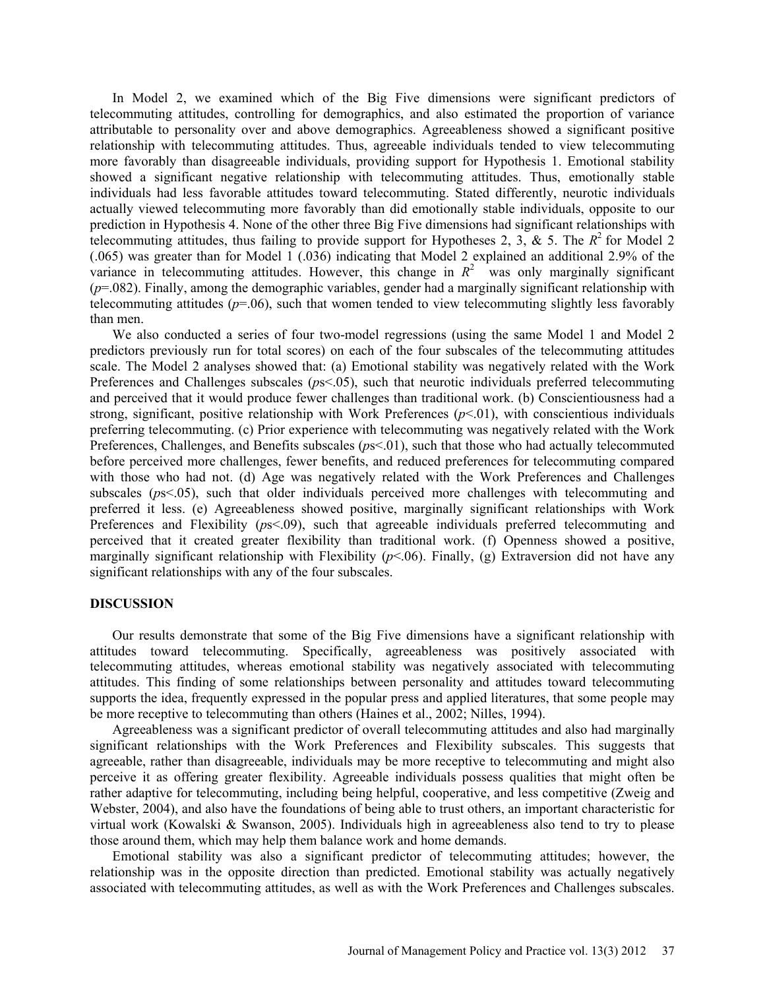In Model 2, we examined which of the Big Five dimensions were significant predictors of telecommuting attitudes, controlling for demographics, and also estimated the proportion of variance attributable to personality over and above demographics. Agreeableness showed a significant positive relationship with telecommuting attitudes. Thus, agreeable individuals tended to view telecommuting more favorably than disagreeable individuals, providing support for Hypothesis 1. Emotional stability showed a significant negative relationship with telecommuting attitudes. Thus, emotionally stable individuals had less favorable attitudes toward telecommuting. Stated differently, neurotic individuals actually viewed telecommuting more favorably than did emotionally stable individuals, opposite to our prediction in Hypothesis 4. None of the other three Big Five dimensions had significant relationships with telecommuting attitudes, thus failing to provide support for Hypotheses 2, 3, & 5. The  $R^2$  for Model 2 (.065) was greater than for Model 1 (.036) indicating that Model 2 explained an additional 2.9% of the variance in telecommuting attitudes. However, this change in  $R<sup>2</sup>$  was only marginally significant (*p*=.082). Finally, among the demographic variables, gender had a marginally significant relationship with telecommuting attitudes  $(p=0.06)$ , such that women tended to view telecommuting slightly less favorably than men.

We also conducted a series of four two-model regressions (using the same Model 1 and Model 2 predictors previously run for total scores) on each of the four subscales of the telecommuting attitudes scale. The Model 2 analyses showed that: (a) Emotional stability was negatively related with the Work Preferences and Challenges subscales (*p*s<.05), such that neurotic individuals preferred telecommuting and perceived that it would produce fewer challenges than traditional work. (b) Conscientiousness had a strong, significant, positive relationship with Work Preferences  $(p<0.01)$ , with conscientious individuals preferring telecommuting. (c) Prior experience with telecommuting was negatively related with the Work Preferences, Challenges, and Benefits subscales (*p*s<.01), such that those who had actually telecommuted before perceived more challenges, fewer benefits, and reduced preferences for telecommuting compared with those who had not. (d) Age was negatively related with the Work Preferences and Challenges subscales ( $ps<0.05$ ), such that older individuals perceived more challenges with telecommuting and preferred it less. (e) Agreeableness showed positive, marginally significant relationships with Work Preferences and Flexibility (*p*s<.09), such that agreeable individuals preferred telecommuting and perceived that it created greater flexibility than traditional work. (f) Openness showed a positive, marginally significant relationship with Flexibility  $(p<0.06)$ . Finally, (g) Extraversion did not have any significant relationships with any of the four subscales.

#### **DISCUSSION**

Our results demonstrate that some of the Big Five dimensions have a significant relationship with attitudes toward telecommuting. Specifically, agreeableness was positively associated with telecommuting attitudes, whereas emotional stability was negatively associated with telecommuting attitudes. This finding of some relationships between personality and attitudes toward telecommuting supports the idea, frequently expressed in the popular press and applied literatures, that some people may be more receptive to telecommuting than others (Haines et al., 2002; Nilles, 1994).

Agreeableness was a significant predictor of overall telecommuting attitudes and also had marginally significant relationships with the Work Preferences and Flexibility subscales. This suggests that agreeable, rather than disagreeable, individuals may be more receptive to telecommuting and might also perceive it as offering greater flexibility. Agreeable individuals possess qualities that might often be rather adaptive for telecommuting, including being helpful, cooperative, and less competitive (Zweig and Webster, 2004), and also have the foundations of being able to trust others, an important characteristic for virtual work (Kowalski & Swanson, 2005). Individuals high in agreeableness also tend to try to please those around them, which may help them balance work and home demands.

Emotional stability was also a significant predictor of telecommuting attitudes; however, the relationship was in the opposite direction than predicted. Emotional stability was actually negatively associated with telecommuting attitudes, as well as with the Work Preferences and Challenges subscales.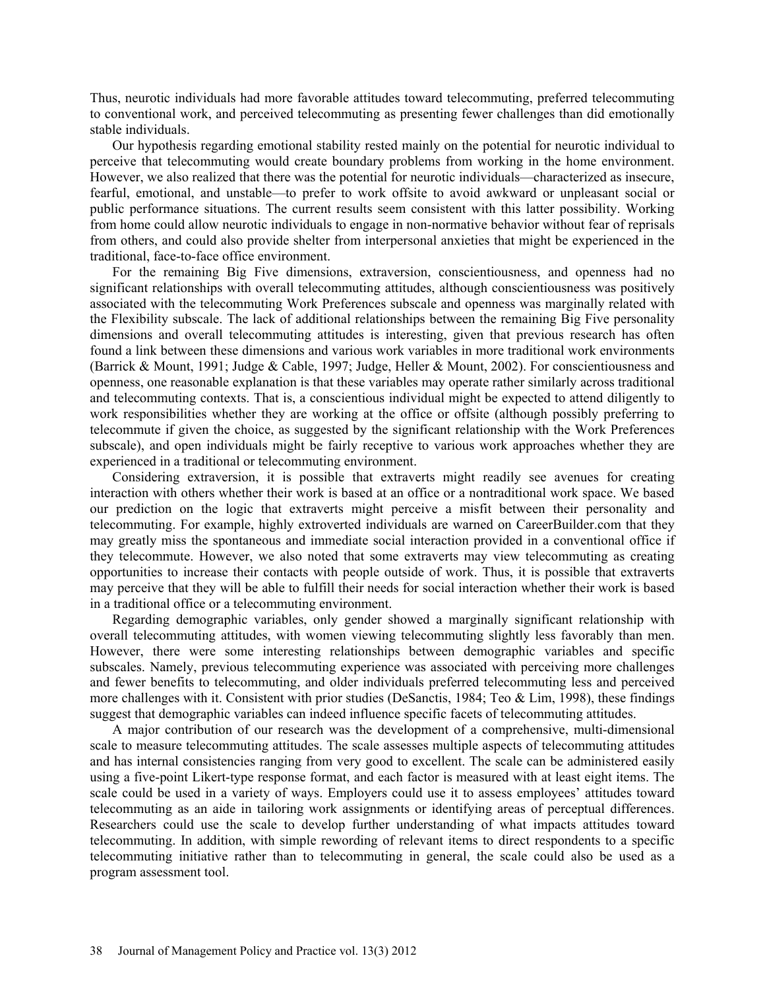Thus, neurotic individuals had more favorable attitudes toward telecommuting, preferred telecommuting to conventional work, and perceived telecommuting as presenting fewer challenges than did emotionally stable individuals.

Our hypothesis regarding emotional stability rested mainly on the potential for neurotic individual to perceive that telecommuting would create boundary problems from working in the home environment. However, we also realized that there was the potential for neurotic individuals—characterized as insecure, fearful, emotional, and unstable—to prefer to work offsite to avoid awkward or unpleasant social or public performance situations. The current results seem consistent with this latter possibility. Working from home could allow neurotic individuals to engage in non-normative behavior without fear of reprisals from others, and could also provide shelter from interpersonal anxieties that might be experienced in the traditional, face-to-face office environment.

For the remaining Big Five dimensions, extraversion, conscientiousness, and openness had no significant relationships with overall telecommuting attitudes, although conscientiousness was positively associated with the telecommuting Work Preferences subscale and openness was marginally related with the Flexibility subscale. The lack of additional relationships between the remaining Big Five personality dimensions and overall telecommuting attitudes is interesting, given that previous research has often found a link between these dimensions and various work variables in more traditional work environments (Barrick & Mount, 1991; Judge & Cable, 1997; Judge, Heller & Mount, 2002). For conscientiousness and openness, one reasonable explanation is that these variables may operate rather similarly across traditional and telecommuting contexts. That is, a conscientious individual might be expected to attend diligently to work responsibilities whether they are working at the office or offsite (although possibly preferring to telecommute if given the choice, as suggested by the significant relationship with the Work Preferences subscale), and open individuals might be fairly receptive to various work approaches whether they are experienced in a traditional or telecommuting environment.

Considering extraversion, it is possible that extraverts might readily see avenues for creating interaction with others whether their work is based at an office or a nontraditional work space. We based our prediction on the logic that extraverts might perceive a misfit between their personality and telecommuting. For example, highly extroverted individuals are warned on CareerBuilder.com that they may greatly miss the spontaneous and immediate social interaction provided in a conventional office if they telecommute. However, we also noted that some extraverts may view telecommuting as creating opportunities to increase their contacts with people outside of work. Thus, it is possible that extraverts may perceive that they will be able to fulfill their needs for social interaction whether their work is based in a traditional office or a telecommuting environment.

Regarding demographic variables, only gender showed a marginally significant relationship with overall telecommuting attitudes, with women viewing telecommuting slightly less favorably than men. However, there were some interesting relationships between demographic variables and specific subscales. Namely, previous telecommuting experience was associated with perceiving more challenges and fewer benefits to telecommuting, and older individuals preferred telecommuting less and perceived more challenges with it. Consistent with prior studies (DeSanctis, 1984; Teo & Lim, 1998), these findings suggest that demographic variables can indeed influence specific facets of telecommuting attitudes.

A major contribution of our research was the development of a comprehensive, multi-dimensional scale to measure telecommuting attitudes. The scale assesses multiple aspects of telecommuting attitudes and has internal consistencies ranging from very good to excellent. The scale can be administered easily using a five-point Likert-type response format, and each factor is measured with at least eight items. The scale could be used in a variety of ways. Employers could use it to assess employees' attitudes toward telecommuting as an aide in tailoring work assignments or identifying areas of perceptual differences. Researchers could use the scale to develop further understanding of what impacts attitudes toward telecommuting. In addition, with simple rewording of relevant items to direct respondents to a specific telecommuting initiative rather than to telecommuting in general, the scale could also be used as a program assessment tool.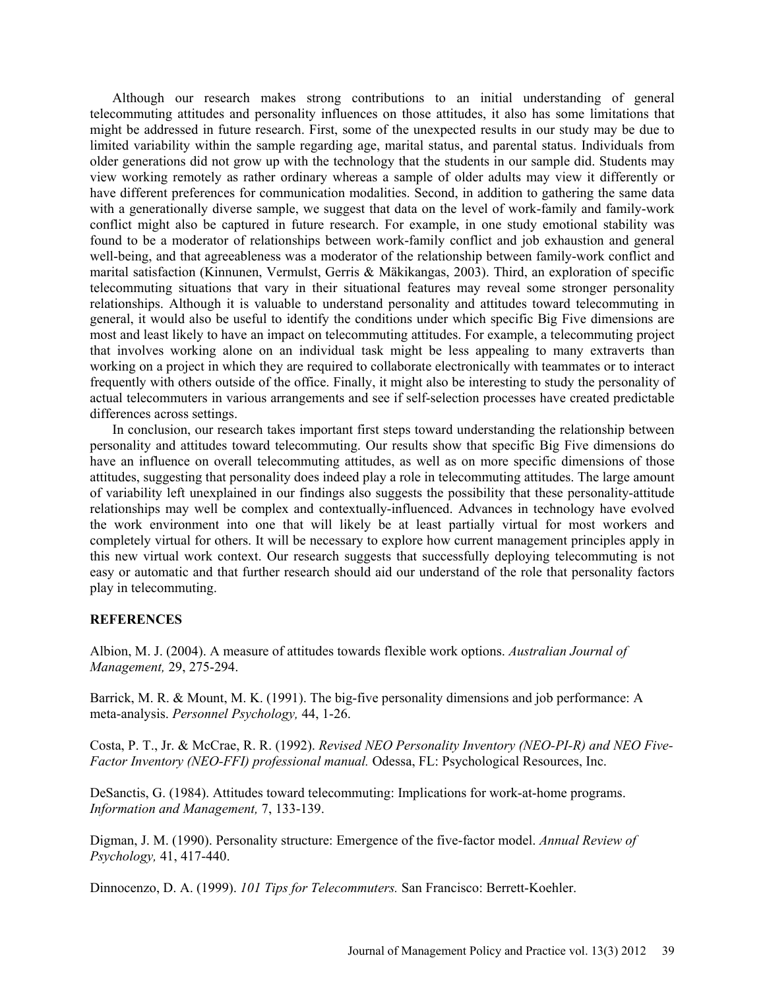Although our research makes strong contributions to an initial understanding of general telecommuting attitudes and personality influences on those attitudes, it also has some limitations that might be addressed in future research. First, some of the unexpected results in our study may be due to limited variability within the sample regarding age, marital status, and parental status. Individuals from older generations did not grow up with the technology that the students in our sample did. Students may view working remotely as rather ordinary whereas a sample of older adults may view it differently or have different preferences for communication modalities. Second, in addition to gathering the same data with a generationally diverse sample, we suggest that data on the level of work-family and family-work conflict might also be captured in future research. For example, in one study emotional stability was found to be a moderator of relationships between work-family conflict and job exhaustion and general well-being, and that agreeableness was a moderator of the relationship between family-work conflict and marital satisfaction (Kinnunen, Vermulst, Gerris & Mäkikangas, 2003). Third, an exploration of specific telecommuting situations that vary in their situational features may reveal some stronger personality relationships. Although it is valuable to understand personality and attitudes toward telecommuting in general, it would also be useful to identify the conditions under which specific Big Five dimensions are most and least likely to have an impact on telecommuting attitudes. For example, a telecommuting project that involves working alone on an individual task might be less appealing to many extraverts than working on a project in which they are required to collaborate electronically with teammates or to interact frequently with others outside of the office. Finally, it might also be interesting to study the personality of actual telecommuters in various arrangements and see if self-selection processes have created predictable differences across settings.

In conclusion, our research takes important first steps toward understanding the relationship between personality and attitudes toward telecommuting. Our results show that specific Big Five dimensions do have an influence on overall telecommuting attitudes, as well as on more specific dimensions of those attitudes, suggesting that personality does indeed play a role in telecommuting attitudes. The large amount of variability left unexplained in our findings also suggests the possibility that these personality-attitude relationships may well be complex and contextually-influenced. Advances in technology have evolved the work environment into one that will likely be at least partially virtual for most workers and completely virtual for others. It will be necessary to explore how current management principles apply in this new virtual work context. Our research suggests that successfully deploying telecommuting is not easy or automatic and that further research should aid our understand of the role that personality factors play in telecommuting.

### **REFERENCES**

Albion, M. J. (2004). A measure of attitudes towards flexible work options. *Australian Journal of Management,* 29, 275-294.

Barrick, M. R. & Mount, M. K. (1991). The big-five personality dimensions and job performance: A meta-analysis. *Personnel Psychology,* 44, 1-26.

Costa, P. T., Jr. & McCrae, R. R. (1992). *Revised NEO Personality Inventory (NEO-PI-R) and NEO Five-Factor Inventory (NEO-FFI) professional manual.* Odessa, FL: Psychological Resources, Inc.

DeSanctis, G. (1984). Attitudes toward telecommuting: Implications for work-at-home programs. *Information and Management,* 7, 133-139.

Digman, J. M. (1990). Personality structure: Emergence of the five-factor model. *Annual Review of Psychology,* 41, 417-440.

Dinnocenzo, D. A. (1999). *101 Tips for Telecommuters.* San Francisco: Berrett-Koehler.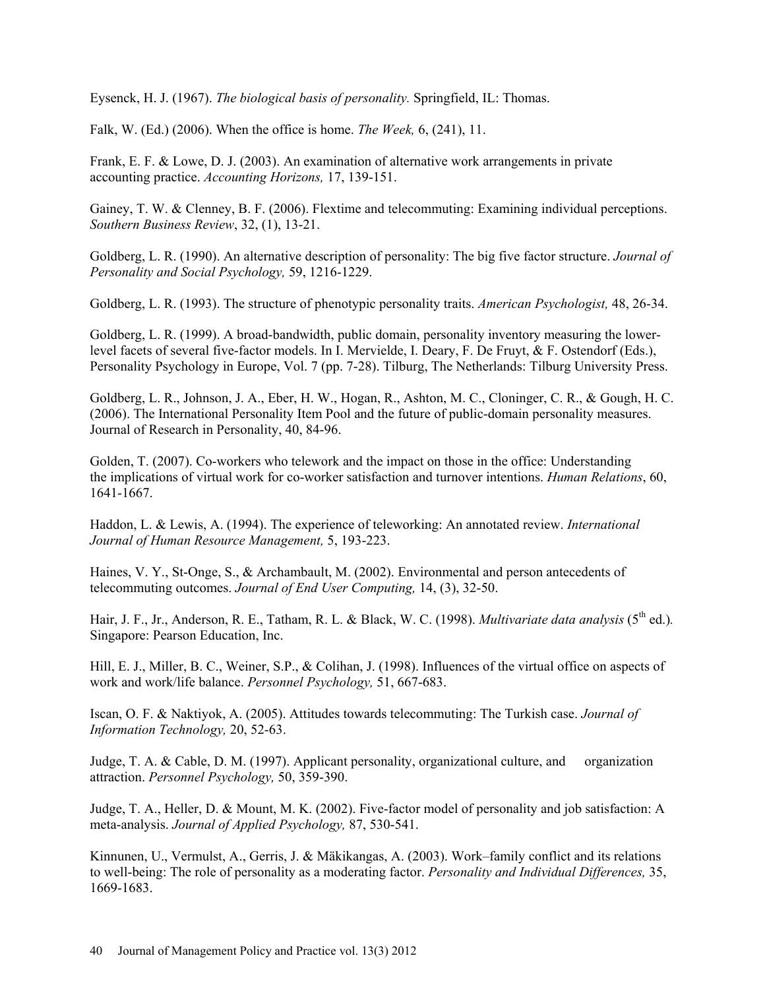Eysenck, H. J. (1967). *The biological basis of personality.* Springfield, IL: Thomas.

Falk, W. (Ed.) (2006). When the office is home. *The Week,* 6, (241), 11.

Frank, E. F. & Lowe, D. J. (2003). An examination of alternative work arrangements in private accounting practice. *Accounting Horizons,* 17, 139-151.

Gainey, T. W. & Clenney, B. F. (2006). Flextime and telecommuting: Examining individual perceptions. *Southern Business Review*, 32, (1), 13-21.

Goldberg, L. R. (1990). An alternative description of personality: The big five factor structure. *Journal of Personality and Social Psychology,* 59, 1216-1229.

Goldberg, L. R. (1993). The structure of phenotypic personality traits. *American Psychologist,* 48, 26-34.

Goldberg, L. R. (1999). A broad-bandwidth, public domain, personality inventory measuring the lowerlevel facets of several five-factor models. In I. Mervielde, I. Deary, F. De Fruyt, & F. Ostendorf (Eds.), Personality Psychology in Europe, Vol. 7 (pp. 7-28). Tilburg, The Netherlands: Tilburg University Press.

Goldberg, L. R., Johnson, J. A., Eber, H. W., Hogan, R., Ashton, M. C., Cloninger, C. R., & Gough, H. C. (2006). The International Personality Item Pool and the future of public-domain personality measures. Journal of Research in Personality, 40, 84-96.

Golden, T. (2007). Co-workers who telework and the impact on those in the office: Understanding the implications of virtual work for co-worker satisfaction and turnover intentions. *Human Relations*, 60, 1641-1667.

Haddon, L. & Lewis, A. (1994). The experience of teleworking: An annotated review. *International Journal of Human Resource Management,* 5, 193-223.

Haines, V. Y., St-Onge, S., & Archambault, M. (2002). Environmental and person antecedents of telecommuting outcomes. *Journal of End User Computing,* 14, (3), 32-50.

Hair, J. F., Jr., Anderson, R. E., Tatham, R. L. & Black, W. C. (1998). *Multivariate data analysis* (5<sup>th</sup> ed.). Singapore: Pearson Education, Inc.

Hill, E. J., Miller, B. C., Weiner, S.P., & Colihan, J. (1998). Influences of the virtual office on aspects of work and work/life balance. *Personnel Psychology,* 51, 667-683.

Iscan, O. F. & Naktiyok, A. (2005). Attitudes towards telecommuting: The Turkish case. *Journal of Information Technology,* 20, 52-63.

Judge, T. A. & Cable, D. M. (1997). Applicant personality, organizational culture, and organization attraction. *Personnel Psychology,* 50, 359-390.

Judge, T. A., Heller, D. & Mount, M. K. (2002). Five-factor model of personality and job satisfaction: A meta-analysis. *Journal of Applied Psychology,* 87, 530-541.

Kinnunen, U., Vermulst, A., Gerris, J. & Mäkikangas, A. (2003). Work–family conflict and its relations to well-being: The role of personality as a moderating factor. *Personality and Individual Differences,* 35, 1669-1683.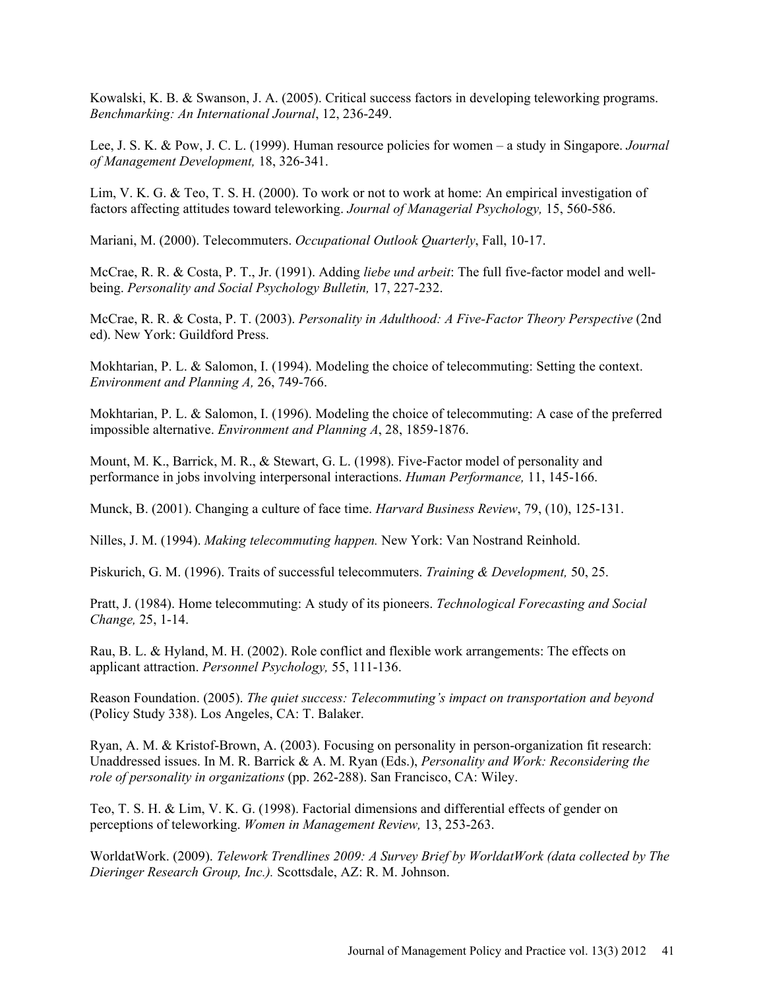Kowalski, K. B. & Swanson, J. A. (2005). Critical success factors in developing teleworking programs. *Benchmarking: An International Journal*, 12, 236-249.

Lee, J. S. K. & Pow, J. C. L. (1999). Human resource policies for women – a study in Singapore. *Journal of Management Development,* 18, 326-341.

Lim, V. K. G. & Teo, T. S. H. (2000). To work or not to work at home: An empirical investigation of factors affecting attitudes toward teleworking. *Journal of Managerial Psychology,* 15, 560-586.

Mariani, M. (2000). Telecommuters. *Occupational Outlook Quarterly*, Fall, 10-17.

McCrae, R. R. & Costa, P. T., Jr. (1991). Adding *liebe und arbeit*: The full five-factor model and wellbeing. *Personality and Social Psychology Bulletin,* 17, 227-232.

McCrae, R. R. & Costa, P. T. (2003). *Personality in Adulthood: A Five-Factor Theory Perspective* (2nd ed). New York: Guildford Press.

Mokhtarian, P. L. & Salomon, I. (1994). Modeling the choice of telecommuting: Setting the context. *Environment and Planning A,* 26, 749-766.

Mokhtarian, P. L. & Salomon, I. (1996). Modeling the choice of telecommuting: A case of the preferred impossible alternative. *Environment and Planning A*, 28, 1859-1876.

Mount, M. K., Barrick, M. R., & Stewart, G. L. (1998). Five-Factor model of personality and performance in jobs involving interpersonal interactions. *Human Performance,* 11, 145-166.

Munck, B. (2001). Changing a culture of face time. *Harvard Business Review*, 79, (10), 125-131.

Nilles, J. M. (1994). *Making telecommuting happen.* New York: Van Nostrand Reinhold.

Piskurich, G. M. (1996). Traits of successful telecommuters. *Training & Development,* 50, 25.

Pratt, J. (1984). Home telecommuting: A study of its pioneers. *Technological Forecasting and Social Change,* 25, 1-14.

Rau, B. L. & Hyland, M. H. (2002). Role conflict and flexible work arrangements: The effects on applicant attraction. *Personnel Psychology,* 55, 111-136.

Reason Foundation. (2005). *The quiet success: Telecommuting's impact on transportation and beyond* (Policy Study 338). Los Angeles, CA: T. Balaker.

Ryan, A. M. & Kristof-Brown, A. (2003). Focusing on personality in person-organization fit research: Unaddressed issues. In M. R. Barrick & A. M. Ryan (Eds.), *Personality and Work: Reconsidering the role of personality in organizations* (pp. 262-288). San Francisco, CA: Wiley.

Teo, T. S. H. & Lim, V. K. G. (1998). Factorial dimensions and differential effects of gender on perceptions of teleworking. *Women in Management Review,* 13, 253-263.

WorldatWork. (2009). *Telework Trendlines 2009: A Survey Brief by WorldatWork (data collected by The Dieringer Research Group, Inc.).* Scottsdale, AZ: R. M. Johnson.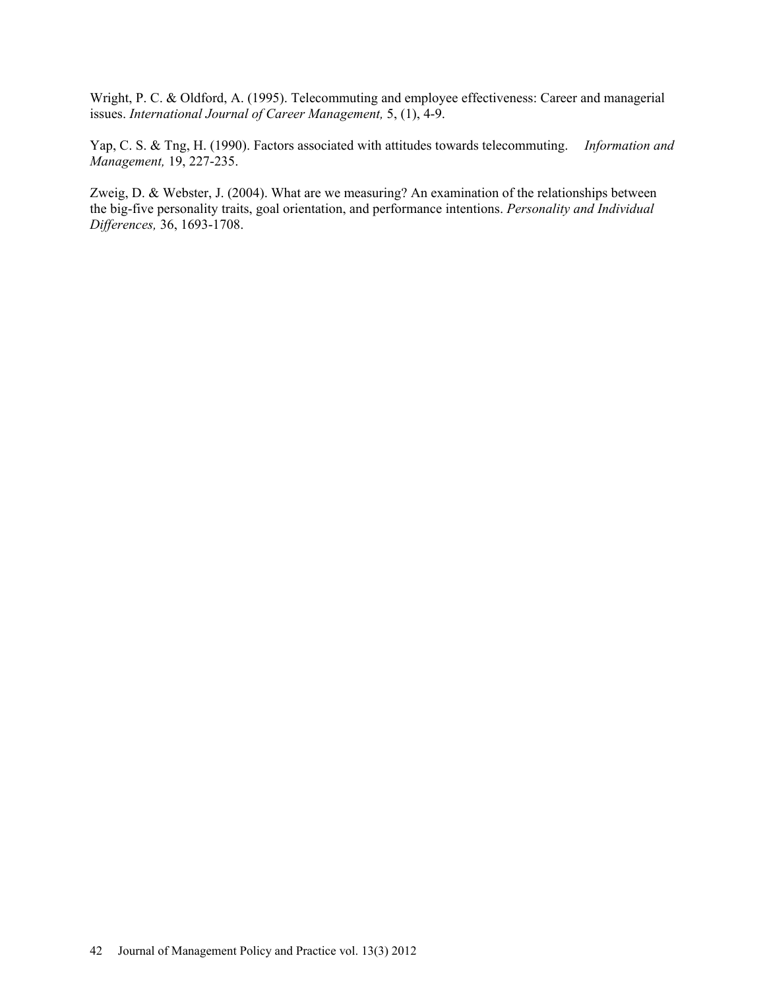Wright, P. C. & Oldford, A. (1995). Telecommuting and employee effectiveness: Career and managerial issues. *International Journal of Career Management,* 5, (1), 4-9.

Yap, C. S. & Tng, H. (1990). Factors associated with attitudes towards telecommuting. *Information and Management,* 19, 227-235.

Zweig, D. & Webster, J. (2004). What are we measuring? An examination of the relationships between the big-five personality traits, goal orientation, and performance intentions. *Personality and Individual Differences,* 36, 1693-1708.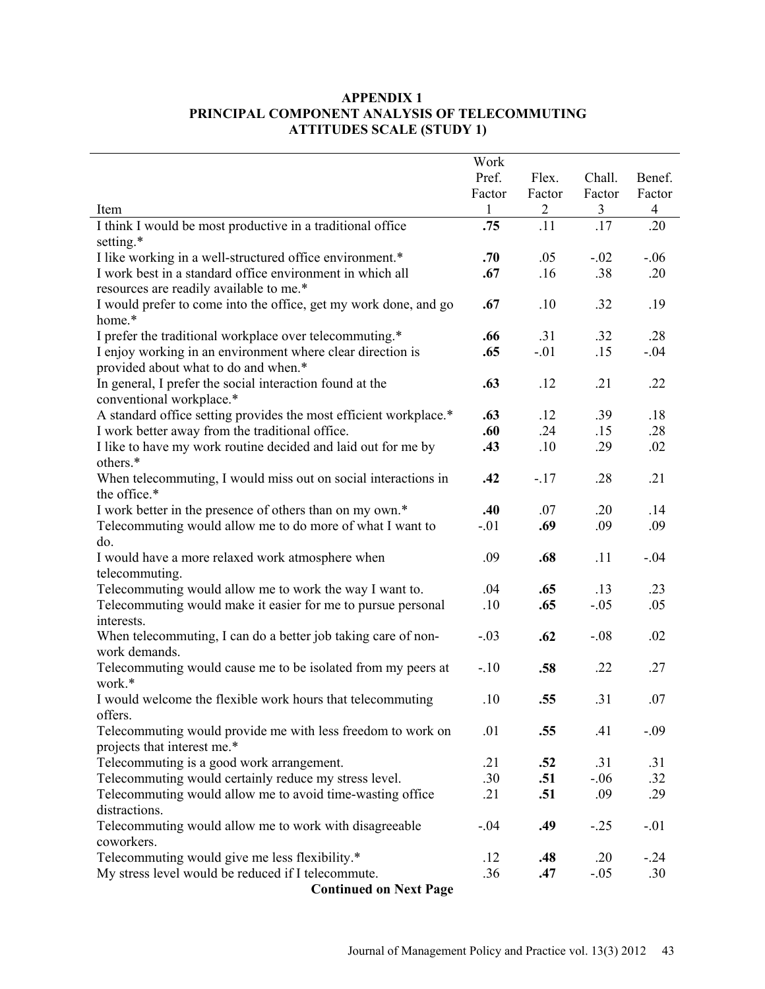## **APPENDIX 1 PRINCIPAL COMPONENT ANALYSIS OF TELECOMMUTING ATTITUDES SCALE (STUDY 1)**

|                                                                                                      | Work            |                 |                  |                  |
|------------------------------------------------------------------------------------------------------|-----------------|-----------------|------------------|------------------|
|                                                                                                      | Pref.<br>Factor | Flex.<br>Factor | Chall.<br>Factor | Benef.<br>Factor |
| Item                                                                                                 | $\mathbf{1}$    | $\overline{c}$  | 3                | $\overline{4}$   |
| I think I would be most productive in a traditional office                                           | .75             | .11             | .17              | .20              |
| setting.*                                                                                            |                 |                 |                  |                  |
| I like working in a well-structured office environment.*                                             | .70             | .05             | $-.02$           | $-.06$           |
| I work best in a standard office environment in which all<br>resources are readily available to me.* | .67             | .16             | .38              | .20              |
| I would prefer to come into the office, get my work done, and go<br>home.*                           | .67             | .10             | .32              | .19              |
| I prefer the traditional workplace over telecommuting.*                                              | .66             | .31             | .32              | .28              |
| I enjoy working in an environment where clear direction is                                           | .65             | $-.01$          | .15              | $-.04$           |
| provided about what to do and when.*                                                                 |                 |                 |                  |                  |
| In general, I prefer the social interaction found at the                                             | .63             | .12             | .21              | .22              |
| conventional workplace.*                                                                             |                 |                 |                  |                  |
| A standard office setting provides the most efficient workplace.*                                    | .63             | .12             | .39              | .18              |
| I work better away from the traditional office.                                                      | .60             | .24             | .15              | .28              |
| I like to have my work routine decided and laid out for me by<br>others.*                            | .43             | .10             | .29              | .02              |
| When telecommuting, I would miss out on social interactions in                                       | .42             | $-.17$          | .28              | .21              |
| the office.*                                                                                         |                 |                 |                  |                  |
| I work better in the presence of others than on my own.*                                             | .40             | .07             | .20              | .14              |
| Telecommuting would allow me to do more of what I want to                                            | $-.01$          | .69             | .09              | .09              |
| do.                                                                                                  |                 |                 |                  |                  |
| I would have a more relaxed work atmosphere when                                                     | .09             | .68             | .11              | $-.04$           |
| telecommuting.                                                                                       |                 |                 |                  |                  |
| Telecommuting would allow me to work the way I want to.                                              | .04             | .65             | .13              | .23              |
| Telecommuting would make it easier for me to pursue personal                                         | .10             | .65             | $-.05$           | .05              |
| interests.<br>When telecommuting, I can do a better job taking care of non-                          | $-.03$          | .62             | $-.08$           | .02              |
| work demands.                                                                                        |                 |                 |                  |                  |
| Telecommuting would cause me to be isolated from my peers at                                         | $-.10$          | .58             | .22              | .27              |
| work.*                                                                                               |                 |                 |                  |                  |
| I would welcome the flexible work hours that telecommuting                                           | .10             | .55             | .31              | .07              |
| offers.                                                                                              |                 |                 |                  |                  |
| Telecommuting would provide me with less freedom to work on                                          | .01             | .55             | .41              | $-.09$           |
| projects that interest me.*                                                                          |                 |                 |                  |                  |
| Telecommuting is a good work arrangement.                                                            | .21             | .52             | .31              | .31              |
| Telecommuting would certainly reduce my stress level.                                                | .30             | .51             | $-.06$           | .32              |
| Telecommuting would allow me to avoid time-wasting office                                            | .21             | .51             | .09              | .29              |
| distractions.                                                                                        |                 |                 |                  |                  |
| Telecommuting would allow me to work with disagreeable<br>coworkers.                                 | $-.04$          | .49             | $-.25$           | $-.01$           |
| Telecommuting would give me less flexibility.*                                                       | .12             | .48             | .20              | $-.24$           |
| My stress level would be reduced if I telecommute.                                                   | .36             | .47             | $-.05$           | .30              |
| <b>Continued on Next Page</b>                                                                        |                 |                 |                  |                  |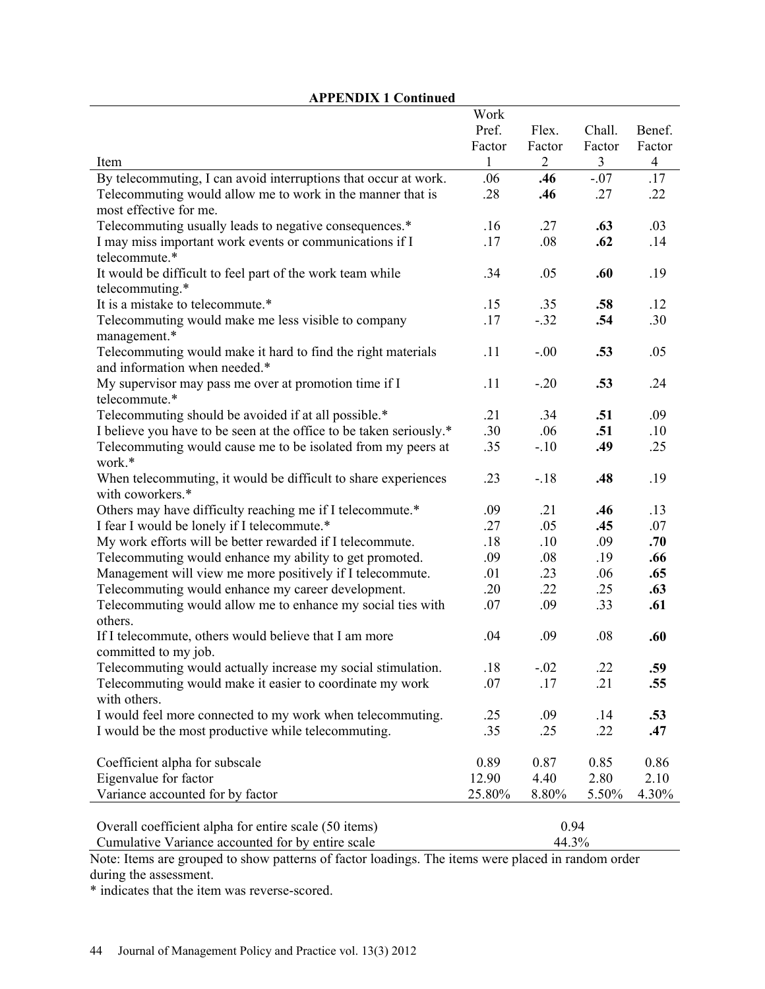| <b>APPENDIX 1 Continued</b>                                         |              |                |                |                |
|---------------------------------------------------------------------|--------------|----------------|----------------|----------------|
|                                                                     | Work         |                |                |                |
|                                                                     | Pref.        | Flex.          | Chall.         | Benef.         |
|                                                                     | Factor       | Factor         | Factor         | Factor         |
| Item                                                                | $\mathbf{1}$ | $\overline{2}$ | $\overline{3}$ | $\overline{4}$ |
| By telecommuting, I can avoid interruptions that occur at work.     | .06          | .46            | $-.07$         | .17            |
| Telecommuting would allow me to work in the manner that is          | .28          | .46            | .27            | .22            |
| most effective for me.                                              |              |                |                |                |
| Telecommuting usually leads to negative consequences.*              | .16          | .27            | .63            | .03            |
| I may miss important work events or communications if I             | .17          | .08            | .62            | .14            |
| telecommute.*                                                       |              |                |                |                |
| It would be difficult to feel part of the work team while           | .34          | .05            | .60            | .19            |
| telecommuting.*                                                     |              |                |                |                |
| It is a mistake to telecommute.*                                    | .15          | .35            | .58            | .12            |
| Telecommuting would make me less visible to company                 | .17          | $-.32$         | .54            | .30            |
| management.*                                                        |              |                |                |                |
| Telecommuting would make it hard to find the right materials        | .11          | $-.00$         | .53            | .05            |
| and information when needed.*                                       |              |                |                |                |
| My supervisor may pass me over at promotion time if I               | .11          | $-.20$         | .53            | .24            |
| telecommute.*                                                       |              |                |                |                |
| Telecommuting should be avoided if at all possible.*                | .21          | .34            | .51            | .09            |
| I believe you have to be seen at the office to be taken seriously.* | .30          | .06            | .51            | .10            |
| Telecommuting would cause me to be isolated from my peers at        | .35          | $-.10$         | .49            | .25            |
| work.*                                                              |              |                |                |                |
| When telecommuting, it would be difficult to share experiences      | .23          | $-18$          | .48            | .19            |
| with coworkers.*                                                    |              |                |                |                |
| Others may have difficulty reaching me if I telecommute.*           | .09          | .21            | .46            | .13            |
| I fear I would be lonely if I telecommute.*                         | .27          | .05            | .45            | .07            |
| My work efforts will be better rewarded if I telecommute.           | .18          | .10            | .09            | .70            |
| Telecommuting would enhance my ability to get promoted.             | .09          | .08            | .19            | .66            |
| Management will view me more positively if I telecommute.           | .01          | .23            | .06            | .65            |
| Telecommuting would enhance my career development.                  | .20          | .22            | .25            | .63            |
| Telecommuting would allow me to enhance my social ties with         | .07          | .09            | .33            | .61            |
| others.                                                             |              |                |                |                |
| If I telecommute, others would believe that I am more               | .04          | .09            | .08            | .60            |
| committed to my job.                                                |              |                |                |                |
| Telecommuting would actually increase my social stimulation.        | .18          | $-.02$         | .22            | .59            |
| Telecommuting would make it easier to coordinate my work            | .07          | .17            | .21            | .55            |
| with others.                                                        |              |                |                |                |
| I would feel more connected to my work when telecommuting.          | .25          | .09            | .14            | .53            |
| I would be the most productive while telecommuting.                 | .35          | .25            | .22            | .47            |
|                                                                     |              |                |                |                |
| Coefficient alpha for subscale                                      | 0.89         | 0.87           | 0.85           | 0.86           |
| Eigenvalue for factor                                               | 12.90        | 4.40           | 2.80           | 2.10           |
| Variance accounted for by factor                                    | 25.80%       | 8.80%          | 5.50%          | 4.30%          |
|                                                                     |              |                |                |                |
| Overall coefficient alpha for entire scale (50 items)               |              | 0.94           |                |                |
| Cumulative Variance accounted for by entire scale                   |              | 44.3%          |                |                |

## Note: Items are grouped to show patterns of factor loadings. The items were placed in random order during the assessment.

\* indicates that the item was reverse-scored.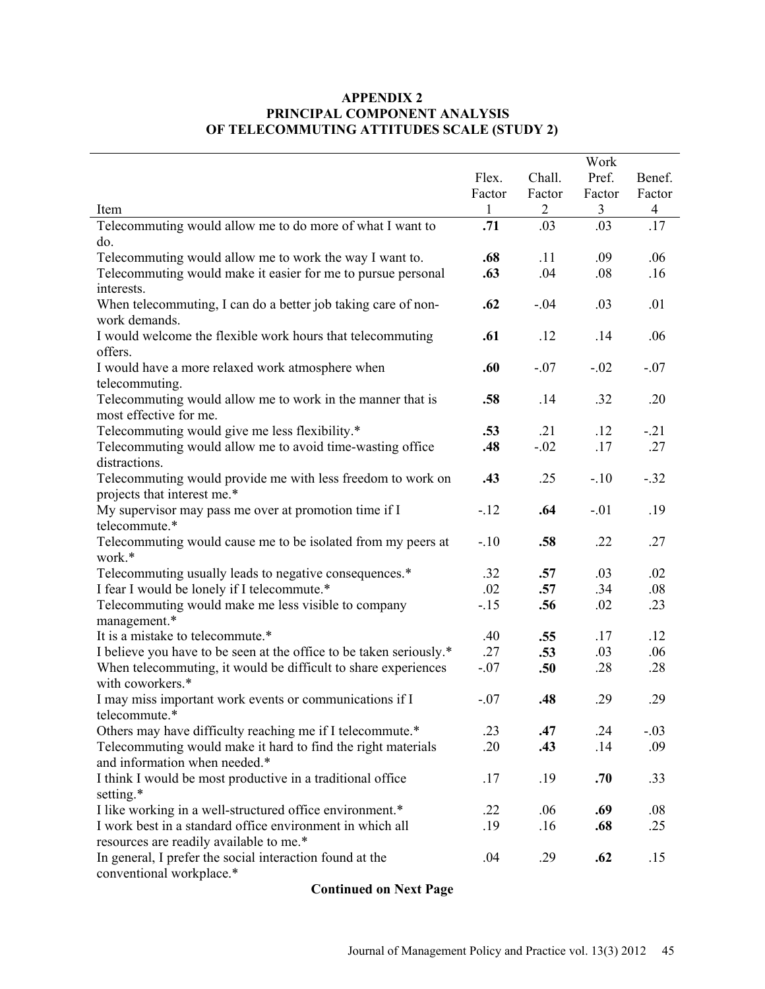## **APPENDIX 2 PRINCIPAL COMPONENT ANALYSIS OF TELECOMMUTING ATTITUDES SCALE (STUDY 2)**

|                                                                     | Work         |                |        |                |  |
|---------------------------------------------------------------------|--------------|----------------|--------|----------------|--|
|                                                                     | Flex.        | Chall.         | Pref.  | Benef.         |  |
|                                                                     | Factor       | Factor         | Factor | Factor         |  |
| Item                                                                | $\mathbf{1}$ | $\overline{2}$ | 3      | $\overline{4}$ |  |
| Telecommuting would allow me to do more of what I want to           | .71          | .03            | .03    | .17            |  |
| do.                                                                 |              |                |        |                |  |
| Telecommuting would allow me to work the way I want to.             | .68          | .11            | .09    | .06            |  |
| Telecommuting would make it easier for me to pursue personal        | .63          | .04            | .08    | .16            |  |
| interests.                                                          |              |                |        |                |  |
| When telecommuting, I can do a better job taking care of non-       | .62          | $-.04$         | .03    | .01            |  |
| work demands.                                                       |              |                |        |                |  |
| I would welcome the flexible work hours that telecommuting          | .61          | .12            | .14    | .06            |  |
| offers.                                                             |              |                |        |                |  |
| I would have a more relaxed work atmosphere when                    | .60          | $-.07$         | $-.02$ | $-.07$         |  |
| telecommuting.                                                      |              |                |        |                |  |
| Telecommuting would allow me to work in the manner that is          | .58          | .14            | .32    | .20            |  |
| most effective for me.                                              |              |                |        |                |  |
| Telecommuting would give me less flexibility.*                      | .53          | .21            | .12    | $-.21$         |  |
| Telecommuting would allow me to avoid time-wasting office           | .48          | $-.02$         | .17    | .27            |  |
| distractions.                                                       |              |                |        |                |  |
| Telecommuting would provide me with less freedom to work on         | .43          | .25            | $-.10$ | $-.32$         |  |
| projects that interest me.*                                         |              |                |        |                |  |
| My supervisor may pass me over at promotion time if I               | $-12$        | .64            | $-.01$ | .19            |  |
| telecommute.*                                                       |              |                |        |                |  |
| Telecommuting would cause me to be isolated from my peers at        | $-.10$       | .58            | .22    | .27            |  |
| work.*                                                              |              |                |        |                |  |
| Telecommuting usually leads to negative consequences.*              | .32          | .57            | .03    | .02            |  |
| I fear I would be lonely if I telecommute.*                         | .02          | .57            | .34    | .08            |  |
| Telecommuting would make me less visible to company                 | $-15$        | .56            | .02    | .23            |  |
| management.*                                                        |              |                |        |                |  |
| It is a mistake to telecommute.*                                    | .40          | .55            | .17    | .12            |  |
| I believe you have to be seen at the office to be taken seriously.* | .27          | .53            | .03    | .06            |  |
| When telecommuting, it would be difficult to share experiences      | $-.07$       | .50            | .28    | .28            |  |
| with coworkers.*                                                    |              |                |        |                |  |
| I may miss important work events or communications if I             | $-.07$       | .48            | .29    | .29            |  |
| telecommute.*                                                       |              |                |        |                |  |
| Others may have difficulty reaching me if I telecommute.*           | .23          | .47            | .24    | $-.03$         |  |
| Telecommuting would make it hard to find the right materials        | .20          | .43            | .14    | .09            |  |
| and information when needed.*                                       |              |                |        |                |  |
| I think I would be most productive in a traditional office          | .17          | .19            | .70    | .33            |  |
| setting.*                                                           |              |                |        |                |  |
| I like working in a well-structured office environment.*            | .22          | .06            | .69    | .08            |  |
| I work best in a standard office environment in which all           | .19          | .16            | .68    | .25            |  |
| resources are readily available to me.*                             |              |                |        |                |  |
| In general, I prefer the social interaction found at the            | .04          | .29            | .62    | .15            |  |
| conventional workplace.*                                            |              |                |        |                |  |

**Continued on Next Page**